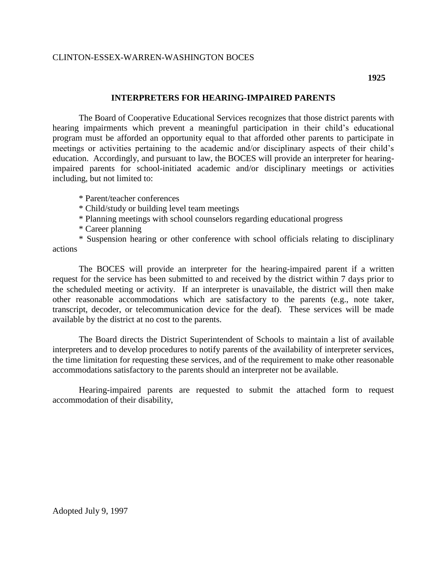## CLINTON-ESSEX-WARREN-WASHINGTON BOCES

## **INTERPRETERS FOR HEARING-IMPAIRED PARENTS**

The Board of Cooperative Educational Services recognizes that those district parents with hearing impairments which prevent a meaningful participation in their child's educational program must be afforded an opportunity equal to that afforded other parents to participate in meetings or activities pertaining to the academic and/or disciplinary aspects of their child's education. Accordingly, and pursuant to law, the BOCES will provide an interpreter for hearingimpaired parents for school-initiated academic and/or disciplinary meetings or activities including, but not limited to:

\* Parent/teacher conferences

\* Child/study or building level team meetings

\* Planning meetings with school counselors regarding educational progress

\* Career planning

\* Suspension hearing or other conference with school officials relating to disciplinary actions

The BOCES will provide an interpreter for the hearing-impaired parent if a written request for the service has been submitted to and received by the district within 7 days prior to the scheduled meeting or activity. If an interpreter is unavailable, the district will then make other reasonable accommodations which are satisfactory to the parents (e.g., note taker, transcript, decoder, or telecommunication device for the deaf). These services will be made available by the district at no cost to the parents.

The Board directs the District Superintendent of Schools to maintain a list of available interpreters and to develop procedures to notify parents of the availability of interpreter services, the time limitation for requesting these services, and of the requirement to make other reasonable accommodations satisfactory to the parents should an interpreter not be available.

Hearing-impaired parents are requested to submit the attached form to request accommodation of their disability,